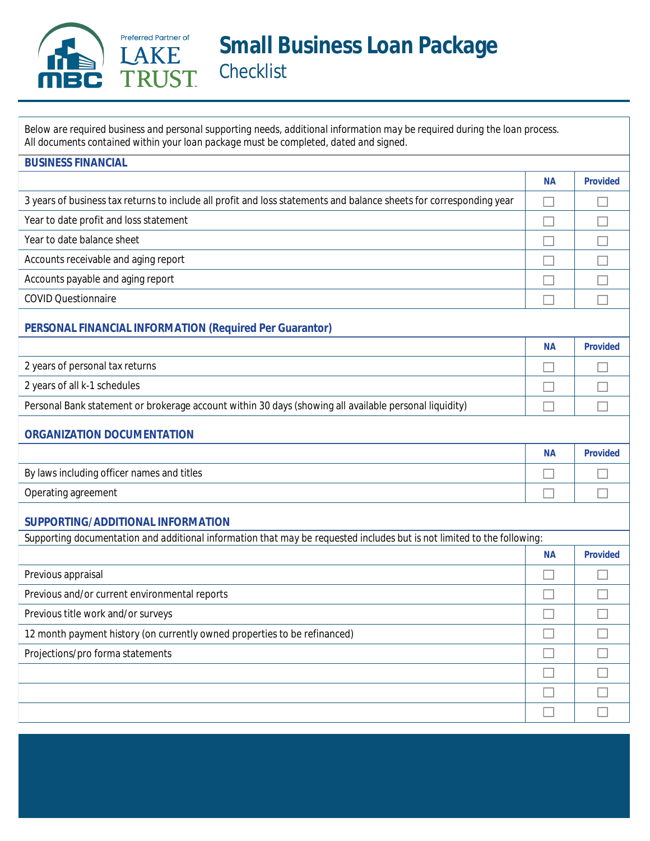

Below are required business and personal supporting needs, additional information may be required during the loan process. All documents contained within your loan package must be completed, dated and signed.

| <b>BUSINESS FINANCIAL</b>                                                                                               |           |                 |
|-------------------------------------------------------------------------------------------------------------------------|-----------|-----------------|
|                                                                                                                         | <b>NA</b> | <b>Provided</b> |
| 3 years of business tax returns to include all profit and loss statements and balance sheets for corresponding year     |           |                 |
| Year to date profit and loss statement                                                                                  |           |                 |
| Year to date balance sheet                                                                                              |           |                 |
| Accounts receivable and aging report                                                                                    |           |                 |
| Accounts payable and aging report                                                                                       |           |                 |
| <b>COVID Questionnaire</b>                                                                                              |           |                 |
| <b>PERSONAL FINANCIAL INFORMATION (Required Per Guarantor)</b>                                                          |           |                 |
|                                                                                                                         | <b>NA</b> | <b>Provided</b> |
| 2 years of personal tax returns                                                                                         |           |                 |
| 2 years of all k-1 schedules                                                                                            |           |                 |
| Personal Bank statement or brokerage account within 30 days (showing all available personal liquidity)                  |           |                 |
| <b>ORGANIZATION DOCUMENTATION</b>                                                                                       |           |                 |
|                                                                                                                         | <b>NA</b> | <b>Provided</b> |
| By laws including officer names and titles                                                                              |           |                 |
| <b>Operating agreement</b>                                                                                              |           |                 |
| SUPPORTING/ADDITIONAL INFORMATION                                                                                       |           |                 |
| Supporting documentation and additional information that may be requested includes but is not limited to the following: |           |                 |
|                                                                                                                         | <b>NA</b> | <b>Provided</b> |
| Previous appraisal                                                                                                      |           |                 |
| Previous and/or current environmental reports                                                                           |           |                 |
| Previous title work and/or surveys                                                                                      |           |                 |
| 12 month payment history (on currently owned properties to be refinanced)                                               | $\Box$    | ш               |
| Projections/pro forma statements                                                                                        |           |                 |
|                                                                                                                         |           |                 |
|                                                                                                                         |           |                 |
|                                                                                                                         |           |                 |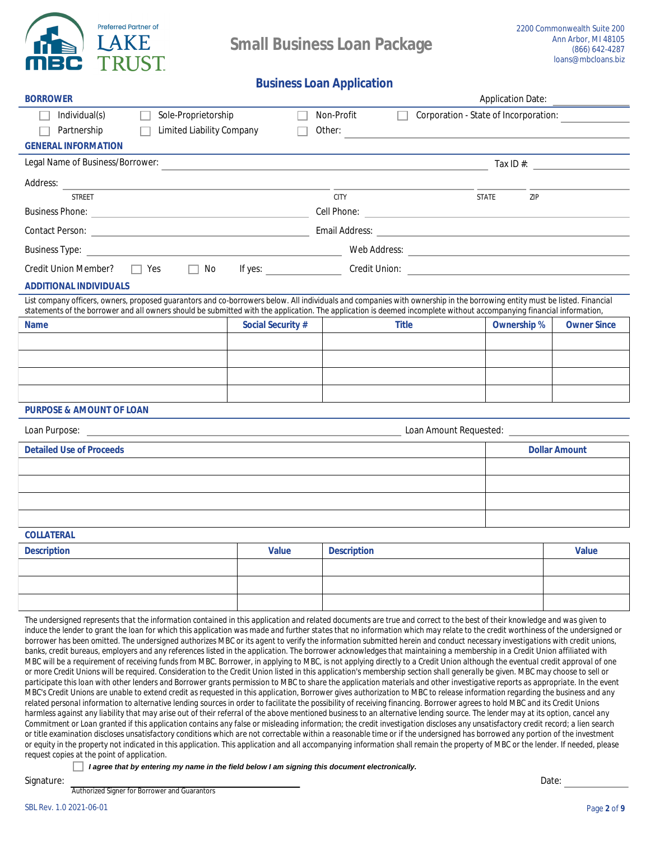

## **Business Loan Application**

| <b>BORROWER</b>                                                                                                                                                                                                                                                                                                                                                                                                                                                                                                                                                                                                                                                                                                                                                                                                                                                                                                                                                                                                                                                                       |                                                                                                                  |                    |                                              | <b>Application Date:</b>    |                      |
|---------------------------------------------------------------------------------------------------------------------------------------------------------------------------------------------------------------------------------------------------------------------------------------------------------------------------------------------------------------------------------------------------------------------------------------------------------------------------------------------------------------------------------------------------------------------------------------------------------------------------------------------------------------------------------------------------------------------------------------------------------------------------------------------------------------------------------------------------------------------------------------------------------------------------------------------------------------------------------------------------------------------------------------------------------------------------------------|------------------------------------------------------------------------------------------------------------------|--------------------|----------------------------------------------|-----------------------------|----------------------|
| Individual(s)<br>Sole-Proprietorship                                                                                                                                                                                                                                                                                                                                                                                                                                                                                                                                                                                                                                                                                                                                                                                                                                                                                                                                                                                                                                                  |                                                                                                                  | <b>Non-Profit</b>  | <b>Corporation - State of Incorporation:</b> |                             |                      |
| <b>Limited Liability Company</b><br>Partnership                                                                                                                                                                                                                                                                                                                                                                                                                                                                                                                                                                                                                                                                                                                                                                                                                                                                                                                                                                                                                                       |                                                                                                                  | Other:             |                                              |                             |                      |
| <b>GENERAL INFORMATION</b>                                                                                                                                                                                                                                                                                                                                                                                                                                                                                                                                                                                                                                                                                                                                                                                                                                                                                                                                                                                                                                                            |                                                                                                                  |                    |                                              |                             |                      |
| <b>Legal Name of Business/Borrower:</b>                                                                                                                                                                                                                                                                                                                                                                                                                                                                                                                                                                                                                                                                                                                                                                                                                                                                                                                                                                                                                                               | and the control of the control of the control of the control of the control of the control of the control of the |                    |                                              | $\text{Tax } \text{ID } #:$ |                      |
| <b>Address:</b><br><u> 1989 - Andrea Andrew Maria (h. 1989).</u>                                                                                                                                                                                                                                                                                                                                                                                                                                                                                                                                                                                                                                                                                                                                                                                                                                                                                                                                                                                                                      |                                                                                                                  |                    |                                              |                             |                      |
| <b>STREET</b>                                                                                                                                                                                                                                                                                                                                                                                                                                                                                                                                                                                                                                                                                                                                                                                                                                                                                                                                                                                                                                                                         |                                                                                                                  | <b>CITY</b>        |                                              | <b>STATE</b><br>ZIP         |                      |
| <b>Business Phone:</b>                                                                                                                                                                                                                                                                                                                                                                                                                                                                                                                                                                                                                                                                                                                                                                                                                                                                                                                                                                                                                                                                |                                                                                                                  |                    |                                              |                             |                      |
|                                                                                                                                                                                                                                                                                                                                                                                                                                                                                                                                                                                                                                                                                                                                                                                                                                                                                                                                                                                                                                                                                       |                                                                                                                  |                    |                                              |                             |                      |
| <b>Business Type:</b><br>the control of the control of the control of the control of the control of the control of                                                                                                                                                                                                                                                                                                                                                                                                                                                                                                                                                                                                                                                                                                                                                                                                                                                                                                                                                                    |                                                                                                                  |                    |                                              |                             |                      |
| <b>Credit Union Member?</b><br>$\parallel$   Yes<br>No<br>$\Box$                                                                                                                                                                                                                                                                                                                                                                                                                                                                                                                                                                                                                                                                                                                                                                                                                                                                                                                                                                                                                      | If yes: $\qquad \qquad$                                                                                          |                    |                                              |                             |                      |
| <b>ADDITIONAL INDIVIDUALS</b>                                                                                                                                                                                                                                                                                                                                                                                                                                                                                                                                                                                                                                                                                                                                                                                                                                                                                                                                                                                                                                                         |                                                                                                                  |                    |                                              |                             |                      |
| List company officers, owners, proposed guarantors and co-borrowers below. All individuals and companies with ownership in the borrowing entity must be listed. Financial<br>statements of the borrower and all owners should be submitted with the application. The application is deemed incomplete without accompanying financial information,                                                                                                                                                                                                                                                                                                                                                                                                                                                                                                                                                                                                                                                                                                                                     |                                                                                                                  |                    |                                              |                             |                      |
| <b>Name</b>                                                                                                                                                                                                                                                                                                                                                                                                                                                                                                                                                                                                                                                                                                                                                                                                                                                                                                                                                                                                                                                                           | <b>Social Security #</b>                                                                                         |                    | <b>Title</b>                                 | <b>Ownership %</b>          | <b>Owner Since</b>   |
|                                                                                                                                                                                                                                                                                                                                                                                                                                                                                                                                                                                                                                                                                                                                                                                                                                                                                                                                                                                                                                                                                       |                                                                                                                  |                    |                                              |                             |                      |
|                                                                                                                                                                                                                                                                                                                                                                                                                                                                                                                                                                                                                                                                                                                                                                                                                                                                                                                                                                                                                                                                                       |                                                                                                                  |                    |                                              |                             |                      |
|                                                                                                                                                                                                                                                                                                                                                                                                                                                                                                                                                                                                                                                                                                                                                                                                                                                                                                                                                                                                                                                                                       |                                                                                                                  |                    |                                              |                             |                      |
|                                                                                                                                                                                                                                                                                                                                                                                                                                                                                                                                                                                                                                                                                                                                                                                                                                                                                                                                                                                                                                                                                       |                                                                                                                  |                    |                                              |                             |                      |
| <b>PURPOSE &amp; AMOUNT OF LOAN</b>                                                                                                                                                                                                                                                                                                                                                                                                                                                                                                                                                                                                                                                                                                                                                                                                                                                                                                                                                                                                                                                   |                                                                                                                  |                    |                                              |                             |                      |
| Loan Purpose: New York 1988 and 2008 and 2008 and 2008 and 2008 and 2008 and 2008 and 2008 and 2008 and 2008 and 2008 and 2008 and 2008 and 2008 and 2008 and 2008 and 2008 and 2008 and 2008 and 2008 and 2008 and 2008 and 2                                                                                                                                                                                                                                                                                                                                                                                                                                                                                                                                                                                                                                                                                                                                                                                                                                                        |                                                                                                                  |                    |                                              |                             |                      |
| <b>Detailed Use of Proceeds</b>                                                                                                                                                                                                                                                                                                                                                                                                                                                                                                                                                                                                                                                                                                                                                                                                                                                                                                                                                                                                                                                       |                                                                                                                  |                    |                                              |                             | <b>Dollar Amount</b> |
|                                                                                                                                                                                                                                                                                                                                                                                                                                                                                                                                                                                                                                                                                                                                                                                                                                                                                                                                                                                                                                                                                       |                                                                                                                  |                    |                                              |                             |                      |
|                                                                                                                                                                                                                                                                                                                                                                                                                                                                                                                                                                                                                                                                                                                                                                                                                                                                                                                                                                                                                                                                                       |                                                                                                                  |                    |                                              |                             |                      |
|                                                                                                                                                                                                                                                                                                                                                                                                                                                                                                                                                                                                                                                                                                                                                                                                                                                                                                                                                                                                                                                                                       |                                                                                                                  |                    |                                              |                             |                      |
|                                                                                                                                                                                                                                                                                                                                                                                                                                                                                                                                                                                                                                                                                                                                                                                                                                                                                                                                                                                                                                                                                       |                                                                                                                  |                    |                                              |                             |                      |
| <b>COLLATERAL</b>                                                                                                                                                                                                                                                                                                                                                                                                                                                                                                                                                                                                                                                                                                                                                                                                                                                                                                                                                                                                                                                                     |                                                                                                                  |                    |                                              |                             |                      |
| <b>Description</b>                                                                                                                                                                                                                                                                                                                                                                                                                                                                                                                                                                                                                                                                                                                                                                                                                                                                                                                                                                                                                                                                    | <b>Value</b>                                                                                                     | <b>Description</b> |                                              |                             | <b>Value</b>         |
|                                                                                                                                                                                                                                                                                                                                                                                                                                                                                                                                                                                                                                                                                                                                                                                                                                                                                                                                                                                                                                                                                       |                                                                                                                  |                    |                                              |                             |                      |
|                                                                                                                                                                                                                                                                                                                                                                                                                                                                                                                                                                                                                                                                                                                                                                                                                                                                                                                                                                                                                                                                                       |                                                                                                                  |                    |                                              |                             |                      |
|                                                                                                                                                                                                                                                                                                                                                                                                                                                                                                                                                                                                                                                                                                                                                                                                                                                                                                                                                                                                                                                                                       |                                                                                                                  |                    |                                              |                             |                      |
| The undersigned represents that the information contained in this application and related documents are true and correct to the best of their knowledge and was given to<br>induce the lender to grant the loan for which this application was made and further states that no information which may relate to the credit worthiness of the undersigned or<br>borrower has been omitted. The undersigned authorizes MBC or its agent to verify the information submitted herein and conduct necessary investigations with credit unions,<br>banks, credit bureaus, employers and any references listed in the application. The borrower acknowledges that maintaining a membership in a Credit Union affiliated with<br>MBC will be a requirement of receiving funds from MBC. Borrower, in applying to MBC, is not applying directly to a Credit Union although the eventual credit approval of one<br>or more Credit Unions will be required. Consideration to the Credit Union listed in this application's membership section shall generally be given. MBC may choose to sell or |                                                                                                                  |                    |                                              |                             |                      |

participate this loan with other lenders and Borrower grants permission to MBC to share the application materials and other investigative reports as appropriate. In the event MBC's Credit Unions are unable to extend credit as requested in this application, Borrower gives authorization to MBC to release information regarding the business and any related personal information to alternative lending sources in order to facilitate the possibility of receiving financing. Borrower agrees to hold MBC and its Credit Unions harmless against any liability that may arise out of their referral of the above mentioned business to an alternative lending source. The lender may at its option, cancel any Commitment or Loan granted if this application contains any false or misleading information; the credit investigation discloses any unsatisfactory credit record; a lien search or title examination discloses unsatisfactory conditions which are not correctable within a reasonable time or if the undersigned has borrowed any portion of the investment or equity in the property not indicated in this application. This application and all accompanying information shall remain the property of MBC or the lender. If needed, please request copies at the point of application.

I agree that by entering my name in the field below I am signing this document electronically.

Signature:

**Authorized Signer for Borrower and Guarantors** 

Date: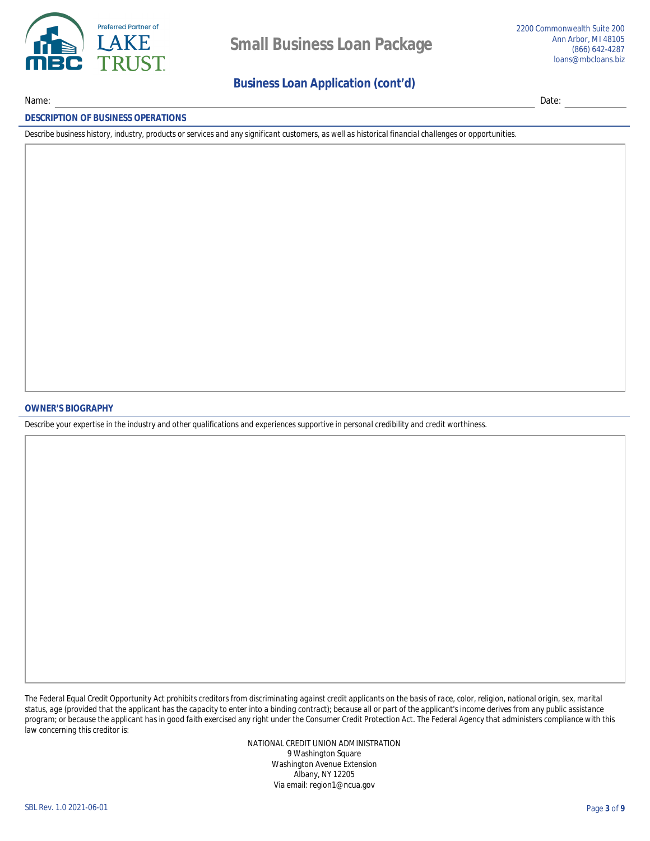

## **Business Loan Application (cont'd)**

Date:

## **DESCRIPTION OF BUSINESS OPERATIONS**

Name:

Describe business history, industry, products or services and any significant customers, as well as historical financial challenges or opportunities.

### **OWNER'S BIOGRAPHY**

Describe your expertise in the industry and other qualifications and experiences supportive in personal credibility and credit worthiness.

The Federal Equal Credit Opportunity Act prohibits creditors from discriminating against credit applicants on the basis of race, color, religion, national origin, sex, marital status, age (provided that the applicant has the capacity to enter into a binding contract); because all or part of the applicant's income derives from any public assistance program; or because the applicant has in good faith exercised any right under the Consumer Credit Protection Act. The Federal Agency that administers compliance with this law concerning this creditor is:

> NATIONAL CREDIT UNION ADMINISTRATION 9 Washington Square **Washington Avenue Extension Albany, NY 12205** Via email: region1@ncua.gov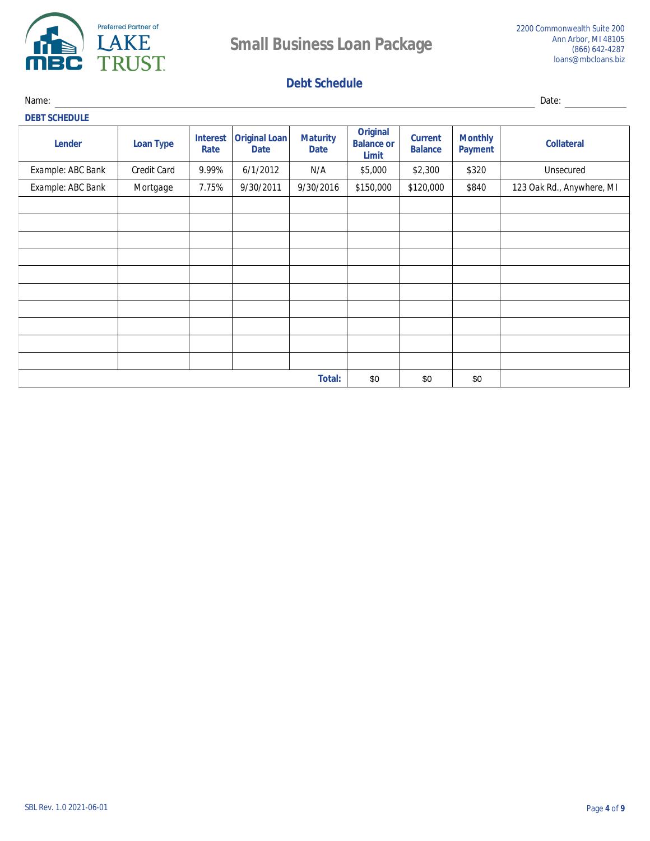

# **Debt Schedule**

Name: Date: **DEBT SCHEDULE Original Interest** Original Loan **Maturity Monthly Current Lender Loan Type Balance or Collateral Rate Date Date Balance Payment Limit Example: ABC Bank**  $9.99\%$  $6/1/2012$  $N/A$ \$5,000 \$2,300 **Unsecured Credit Card** \$320 **Example: ABC Bank Mortgage** 7.75%  $9/30/2011$  $9/30/2016$  $$150,000$  $$120,000$ **\$840** 123 Oak Rd., Anywhere, MI **Total:** \$0 \$0 \$0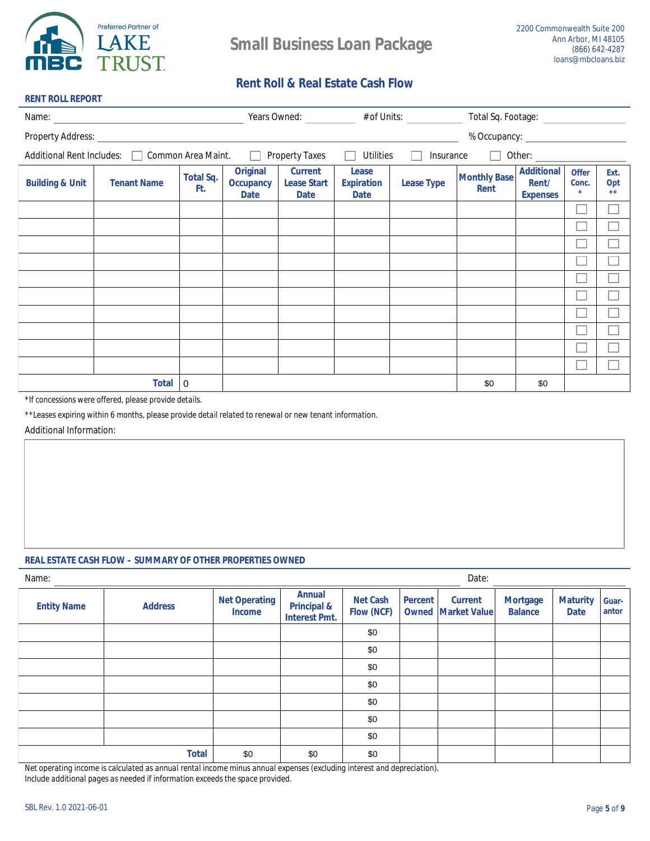

**RENT ROLL REPORT** 

## **Rent Roll & Real Estate Cash Flow**

|                            |                                              |                         |                                                    |                                                     |                                                  | Years Owned: ___________ # of Units: __________ | Total Sq. Footage: ______________  |                                               |                                 |                     |
|----------------------------|----------------------------------------------|-------------------------|----------------------------------------------------|-----------------------------------------------------|--------------------------------------------------|-------------------------------------------------|------------------------------------|-----------------------------------------------|---------------------------------|---------------------|
| <b>Property Address:</b>   |                                              |                         |                                                    |                                                     |                                                  |                                                 |                                    |                                               |                                 |                     |
|                            | Additional Rent Includes: Common Area Maint. |                         | $\Box$                                             | <b>Property Taxes</b>                               | <b>Utilities</b><br>$\mathbf{I}$                 | <b>Insurance</b>                                | $\Box$                             | Other: $\qquad \qquad$                        |                                 |                     |
| <b>Building &amp; Unit</b> | <b>Tenant Name</b>                           | <b>Total Sq.</b><br>Ft. | <b>Original</b><br><b>Occupancy</b><br><b>Date</b> | <b>Current</b><br><b>Lease Start</b><br><b>Date</b> | <b>Lease</b><br><b>Expiration</b><br><b>Date</b> | <b>Lease Type</b>                               | <b>Monthly Base</b><br><b>Rent</b> | <b>Additional</b><br>Rent/<br><b>Expenses</b> | <b>Offer</b><br>Conc.<br>$\ast$ | Ext.<br>Opt<br>$**$ |
|                            |                                              |                         |                                                    |                                                     |                                                  |                                                 |                                    |                                               |                                 |                     |
|                            |                                              |                         |                                                    |                                                     |                                                  |                                                 |                                    |                                               |                                 |                     |
|                            |                                              |                         |                                                    |                                                     |                                                  |                                                 |                                    |                                               |                                 |                     |
|                            |                                              |                         |                                                    |                                                     |                                                  |                                                 |                                    |                                               |                                 |                     |
|                            |                                              |                         |                                                    |                                                     |                                                  |                                                 |                                    |                                               |                                 |                     |
|                            |                                              |                         |                                                    |                                                     |                                                  |                                                 |                                    |                                               |                                 |                     |
|                            |                                              |                         |                                                    |                                                     |                                                  |                                                 |                                    |                                               |                                 |                     |
|                            |                                              |                         |                                                    |                                                     |                                                  |                                                 |                                    |                                               |                                 |                     |
|                            |                                              |                         |                                                    |                                                     |                                                  |                                                 |                                    |                                               |                                 |                     |
|                            |                                              |                         |                                                    |                                                     |                                                  |                                                 |                                    |                                               |                                 |                     |
|                            | <b>Total</b>                                 | 0                       |                                                    |                                                     |                                                  |                                                 | \$0                                | \$0                                           |                                 |                     |

\*If concessions were offered, please provide details.

\*\*Leases expiring within 6 months, please provide detail related to renewal or new tenant information.

**Additional Information:** 

## **REAL ESTATE CASH FLOW - SUMMARY OF OTHER PROPERTIES OWNED**

| Name:              |                |                                       |                                                                 |                                      |                | Date:                                         |                                   |                                |                       |
|--------------------|----------------|---------------------------------------|-----------------------------------------------------------------|--------------------------------------|----------------|-----------------------------------------------|-----------------------------------|--------------------------------|-----------------------|
| <b>Entity Name</b> | <b>Address</b> | <b>Net Operating</b><br><b>Income</b> | <b>Annual</b><br><b>Principal &amp;</b><br><b>Interest Pmt.</b> | <b>Net Cash</b><br><b>Flow (NCF)</b> | <b>Percent</b> | <b>Current</b><br><b>Owned   Market Value</b> | <b>Mortgage</b><br><b>Balance</b> | <b>Maturity</b><br><b>Date</b> | <b>Guar-</b><br>antor |
|                    |                |                                       |                                                                 | \$0                                  |                |                                               |                                   |                                |                       |
|                    |                |                                       |                                                                 | \$0                                  |                |                                               |                                   |                                |                       |
|                    |                |                                       |                                                                 | \$0                                  |                |                                               |                                   |                                |                       |
|                    |                |                                       |                                                                 | \$0                                  |                |                                               |                                   |                                |                       |
|                    |                |                                       |                                                                 | \$0                                  |                |                                               |                                   |                                |                       |
|                    |                |                                       |                                                                 | \$0                                  |                |                                               |                                   |                                |                       |
|                    |                |                                       |                                                                 | \$0                                  |                |                                               |                                   |                                |                       |
|                    | <b>Total</b>   | \$0                                   | \$0                                                             | \$0                                  |                |                                               |                                   |                                |                       |

Net operating income is calculated as annual rental income minus annual expenses (excluding interest and depreciation).

Include additional pages as needed if information exceeds the space provided.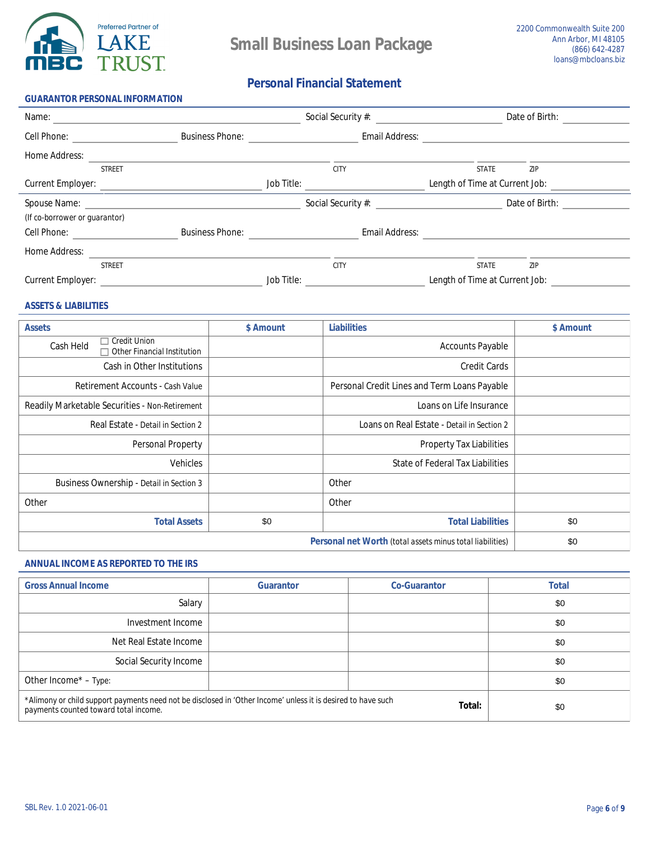

## **Personal Financial Statement**

| <b>GUARANTOR PERSONAL INFORMATION</b>                 |                        |                   |                           |                                |                |  |
|-------------------------------------------------------|------------------------|-------------------|---------------------------|--------------------------------|----------------|--|
| Name:                                                 |                        |                   | Social Security #:        |                                | Date of Birth: |  |
| <b>Cell Phone:</b>                                    | <b>Business Phone:</b> |                   | <b>Email Address:</b>     |                                |                |  |
| <b>Home Address:</b>                                  |                        |                   |                           |                                |                |  |
| <b>STREET</b>                                         |                        |                   | <b>CITY</b>               | <b>STATE</b>                   | ZIP            |  |
| <b>Current Employer:</b>                              |                        | <b>Job Title:</b> |                           | Length of Time at Current Job: |                |  |
| Spouse Name: <u>Discovered</u> Executive Spouse Name: |                        |                   | <b>Social Security #:</b> |                                | Date of Birth: |  |
| (If co-borrower or guarantor)                         |                        |                   |                           |                                |                |  |
| <b>Cell Phone:</b>                                    | <b>Business Phone:</b> |                   | <b>Email Address:</b>     |                                |                |  |
| <b>Home Address:</b>                                  |                        |                   |                           |                                |                |  |
| <b>STREET</b>                                         |                        |                   | <b>CITY</b>               | <b>STATE</b>                   | ZIP            |  |
| <b>Current Employer:</b>                              |                        | <b>Job Title:</b> |                           | Length of Time at Current Job: |                |  |

### **ASSETS & LIABILITIES**

| <b>Assets</b>                                                                 | \$ Amount | <b>Liabilities</b>                                               | \$ Amount |
|-------------------------------------------------------------------------------|-----------|------------------------------------------------------------------|-----------|
| <b>Credit Union</b><br><b>Cash Held</b><br><b>Other Financial Institution</b> |           | <b>Accounts Payable</b>                                          |           |
| <b>Cash in Other Institutions</b>                                             |           | <b>Credit Cards</b>                                              |           |
| <b>Retirement Accounts - Cash Value</b>                                       |           | <b>Personal Credit Lines and Term Loans Payable</b>              |           |
| <b>Readily Marketable Securities - Non-Retirement</b>                         |           | Loans on Life Insurance                                          |           |
| Real Estate - Detail in Section 2                                             |           | Loans on Real Estate - Detail in Section 2                       |           |
| <b>Personal Property</b>                                                      |           | <b>Property Tax Liabilities</b>                                  |           |
| <b>Vehicles</b>                                                               |           | <b>State of Federal Tax Liabilities</b>                          |           |
| <b>Business Ownership - Detail in Section 3</b>                               |           | <b>Other</b>                                                     |           |
| <b>Other</b>                                                                  |           | <b>Other</b>                                                     |           |
| <b>Total Assets</b>                                                           | \$0       | <b>Total Liabilities</b>                                         | \$0       |
|                                                                               |           | <b>Personal net Worth (total assets minus total liabilities)</b> | \$0       |

## **ANNUAL INCOME AS REPORTED TO THE IRS**

| <b>Gross Annual Income</b>                                                                                                                            | <b>Guarantor</b> | <b>Co-Guarantor</b> | <b>Total</b> |
|-------------------------------------------------------------------------------------------------------------------------------------------------------|------------------|---------------------|--------------|
| <b>Salary</b>                                                                                                                                         |                  |                     | \$0          |
| Investment Income                                                                                                                                     |                  |                     | \$0          |
| <b>Net Real Estate Income</b>                                                                                                                         |                  |                     | \$0          |
| <b>Social Security Income</b>                                                                                                                         |                  |                     | \$0          |
| Other Income* - Type:                                                                                                                                 |                  |                     | \$0          |
| *Alimony or child support payments need not be disclosed in 'Other Income' unless it is desired to have such<br>payments counted toward total income. | \$0              |                     |              |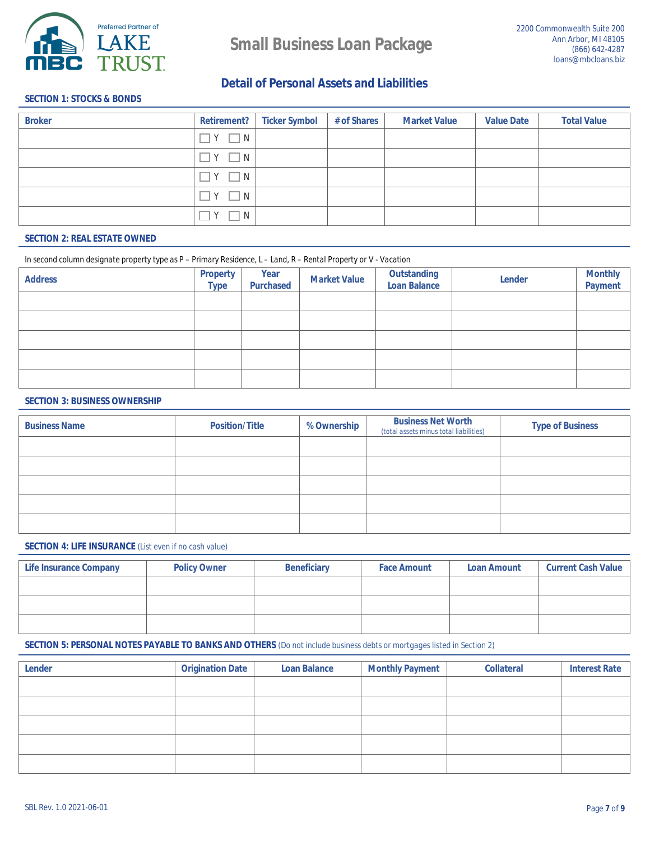

**Detail of Personal Assets and Liabilities** 

## **SECTION 1: STOCKS & BONDS**

| <b>Broker</b> | <b>Retirement?</b> | <b>Ticker Symbol</b> | # of Shares | <b>Market Value</b> | <b>Value Date</b> | <b>Total Value</b> |
|---------------|--------------------|----------------------|-------------|---------------------|-------------------|--------------------|
|               | $\Box$ Y $\Box$ N  |                      |             |                     |                   |                    |
|               | $\Box$ Y $\Box$ N  |                      |             |                     |                   |                    |
|               | $\Box$ Y $\Box$ N  |                      |             |                     |                   |                    |
|               | $\Box$ Y $\Box$ N  |                      |             |                     |                   |                    |
|               | $\Box$ N<br>Y      |                      |             |                     |                   |                    |

### **SECTION 2: REAL ESTATE OWNED**

#### In second column designate property type as P - Primary Residence, L - Land, R - Rental Property or V - Vacation

| <b>Address</b> | <b>Property</b><br><b>Type</b> | <b>Year</b><br><b>Purchased</b> | <b>Market Value</b> | <b>Outstanding<br/>Loan Balance</b> | <b>Lender</b> | <b>Monthly<br/>Payment</b> |
|----------------|--------------------------------|---------------------------------|---------------------|-------------------------------------|---------------|----------------------------|
|                |                                |                                 |                     |                                     |               |                            |
|                |                                |                                 |                     |                                     |               |                            |
|                |                                |                                 |                     |                                     |               |                            |
|                |                                |                                 |                     |                                     |               |                            |
|                |                                |                                 |                     |                                     |               |                            |

#### **SECTION 3: BUSINESS OWNERSHIP**

| <b>Business Name</b> | <b>Position/Title</b> | % Ownership | <b>Business Net Worth</b><br>(total assets minus total liabilities) | <b>Type of Business</b> |
|----------------------|-----------------------|-------------|---------------------------------------------------------------------|-------------------------|
|                      |                       |             |                                                                     |                         |
|                      |                       |             |                                                                     |                         |
|                      |                       |             |                                                                     |                         |
|                      |                       |             |                                                                     |                         |
|                      |                       |             |                                                                     |                         |

#### **SECTION 4: LIFE INSURANCE** (List even if no cash value)

| <b>Life Insurance Company</b> | <b>Policy Owner</b> | <b>Beneficiary</b> | <b>Face Amount</b> | <b>Loan Amount</b> | <b>Current Cash Value</b> |
|-------------------------------|---------------------|--------------------|--------------------|--------------------|---------------------------|
|                               |                     |                    |                    |                    |                           |
|                               |                     |                    |                    |                    |                           |
|                               |                     |                    |                    |                    |                           |

### **SECTION 5: PERSONAL NOTES PAYABLE TO BANKS AND OTHERS** (Do not include business debts or mortgages listed in Section 2)

| <b>Lender</b> | <b>Origination Date</b> | <b>Loan Balance</b> | <b>Monthly Payment</b> | <b>Collateral</b> | <b>Interest Rate</b> |
|---------------|-------------------------|---------------------|------------------------|-------------------|----------------------|
|               |                         |                     |                        |                   |                      |
|               |                         |                     |                        |                   |                      |
|               |                         |                     |                        |                   |                      |
|               |                         |                     |                        |                   |                      |
|               |                         |                     |                        |                   |                      |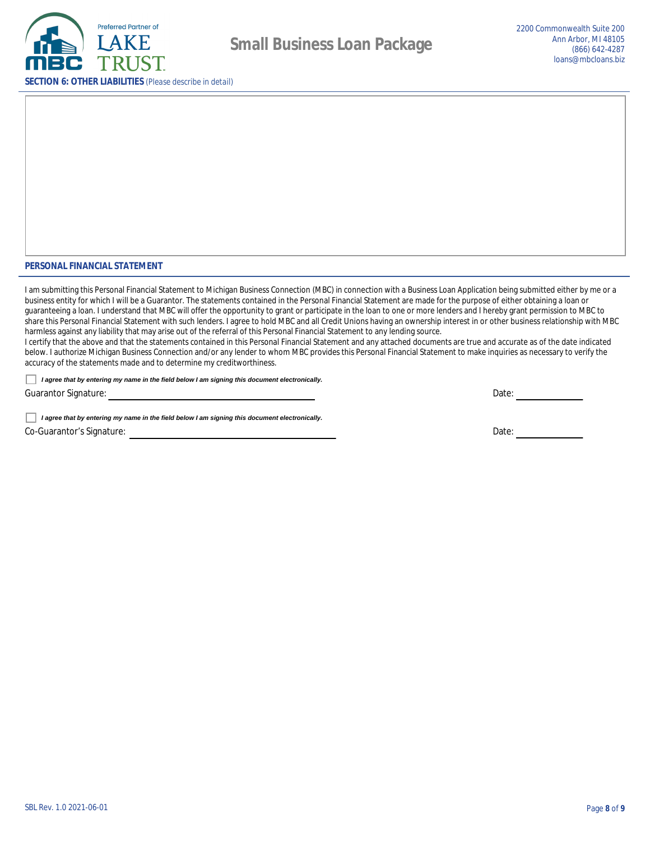

### PERSONAL FINANCIAL STATEMENT

I am submitting this Personal Financial Statement to Michigan Business Connection (MBC) in connection with a Business Loan Application being submitted either by me or a business entity for which I will be a Guarantor. The statements contained in the Personal Financial Statement are made for the purpose of either obtaining a loan or guaranteeing a loan. I understand that MBC will offer the opportunity to grant or participate in the loan to one or more lenders and I hereby grant permission to MBC to share this Personal Financial Statement with such lenders. I agree to hold MBC and all Credit Unions having an ownership interest in or other business relationship with MBC harmless against any liability that may arise out of the referral of this Personal Financial Statement to any lending source.

I certify that the above and that the statements contained in this Personal Financial Statement and any attached documents are true and accurate as of the date indicated below. I authorize Michigan Business Connection and/or any lender to whom MBC provides this Personal Financial Statement to make inquiries as necessary to verify the accuracy of the statements made and to determine my creditworthiness.

I agree that by entering my name in the field below I am signing this document electronically.

**Guarantor Signature:** 

I agree that by entering my name in the field below I am signing this document electronically. **Co-Guarantor's Signature:** 

Date:  $\qquad \qquad$ 

Date: